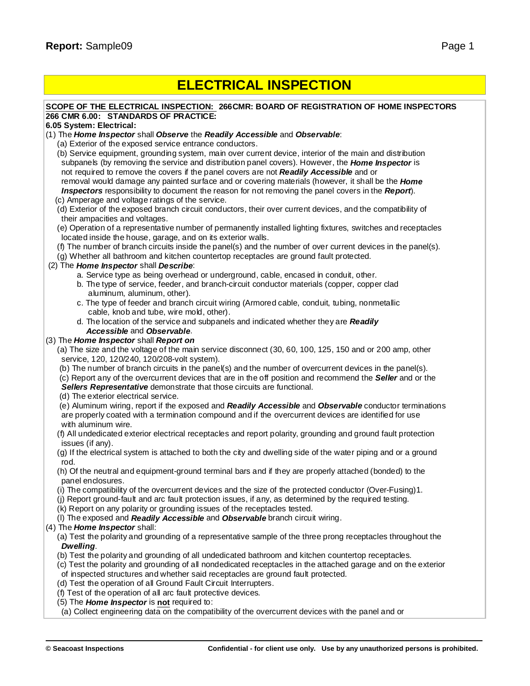## **ELECTRICAL INSPECTION**

#### **SCOPE OF THE ELECTRICAL INSPECTION: 266CMR: BOARD OF REGISTRATION OF HOME INSPECTORS 266 CMR 6.00: STANDARDS OF PRACTICE:**

#### **6.05 System: Electrical:**

(1) The *Home Inspector* shall *Observe* the *Readily Accessible* and *Observable*:

- (a) Exterior of the exposed service entrance conductors.
- (b) Service equipment, grounding system, main over current device, interior of the main and distribution subpanels (by removing the service and distribution panel covers). However, the *Home Inspector* is not required to remove the covers if the panel covers are not *Readily Accessible* and or removal would damage any painted surface and or covering materials (however, it shall be the *Home Inspectors* responsibility to document the reason for not removing the panel covers in the *Report*).
- (c) Amperage and voltage ratings of the service.
- (d) Exterior of the exposed branch circuit conductors, their over current devices, and the compatibility of their ampacities and voltages.
- (e) Operation of a representative number of permanently installed lighting fixtures, switches and receptacles located inside the house, garage, and on its exterior walls.
- (f) The number of branch circuits inside the panel(s) and the number of over current devices in the panel(s).

(g) Whether all bathroom and kitchen countertop receptacles are ground fault protected.

## (2) The *Home Inspector* shall *Describe*:

- a. Service type as being overhead or underground, cable, encased in conduit, other.
- b. The type of service, feeder, and branch-circuit conductor materials (copper, copper clad aluminum, aluminum, other).
- c. The type of feeder and branch circuit wiring (Armored cable, conduit, tubing, nonmetallic cable, knob and tube, wire mold, other).
- d. The location of the service and subpanels and indicated whether they are *Readily Accessible* and *Observable*.

## (3) The *Home Inspector* shall *Report on*

(a) The size and the voltage of the main service disconnect (30, 60, 100, 125, 150 and or 200 amp, other service, 120, 120/240, 120/208-volt system).

(b) The number of branch circuits in the panel(s) and the number of overcurrent devices in the panel(s).

(c) Report any of the overcurrent devices that are in the off position and recommend the *Seller* and or the *Sellers Representative* demonstrate that those circuits are functional.

## (d) The exterior electrical service.

- (e) Aluminum wiring, report if the exposed and *Readily Accessible* and *Observable* conductor terminations are properly coated with a termination compound and if the overcurrent devices are identified for use with aluminum wire.
- (f) All undedicated exterior electrical receptacles and report polarity, grounding and ground fault protection issues (if any).
- (g) If the electrical system is attached to both the city and dwelling side of the water piping and or a ground rod.
- (h) Of the neutral and equipment-ground terminal bars and if they are properly attached (bonded) to the panel enclosures.
- (i) The compatibility of the overcurrent devices and the size of the protected conductor (Over-Fusing)1.
- (j) Report ground-fault and arc fault protection issues, if any, as determined by the required testing.
- (k) Report on any polarity or grounding issues of the receptacles tested.
- (l) The exposed and *Readily Accessible* and *Observable* branch circuit wiring.

## (4) The *Home Inspector* shall:

(a) Test the polarity and grounding of a representative sample of the three prong receptacles throughout the *Dwelling*.

- (b) Test the polarity and grounding of all undedicated bathroom and kitchen countertop receptacles.
- (c) Test the polarity and grounding of all nondedicated receptacles in the attached garage and on the exterior
- of inspected structures and whether said receptacles are ground fault protected.
- (d) Test the operation of all Ground Fault Circuit Interrupters.

(f) Test of the operation of all arc fault protective devices.

- (5) The *Home Inspector* is **not** required to:
- (a) Collect engineering data on the compatibility of the overcurrent devices with the panel and or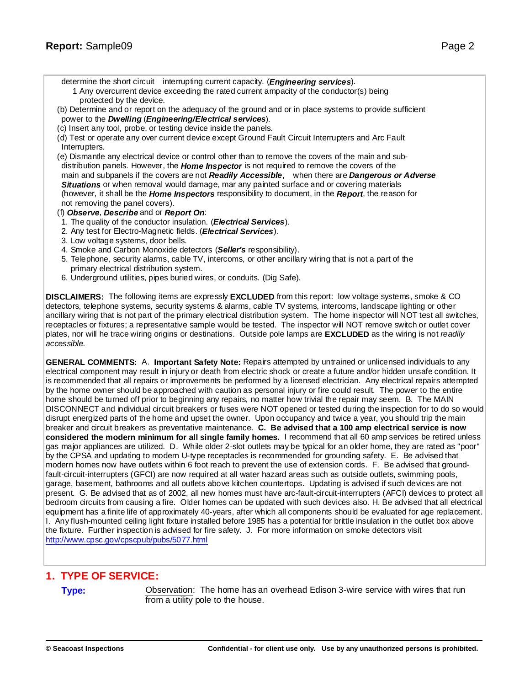determine the short circuit interrupting current capacity. (*Engineering services*).

- 1 Any overcurrent device exceeding the rated current ampacity of the conductor(s) being protected by the device.
- (b) Determine and or report on the adequacy of the ground and or in place systems to provide sufficient power to the *Dwelling* (*Engineering/Electrical services*).
- (c) Insert any tool, probe, or testing device inside the panels.
- (d) Test or operate any over current device except Ground Fault Circuit Interrupters and Arc Fault Interrupters.
- (e) Dismantle any electrical device or control other than to remove the covers of the main and subdistribution panels. However, the *Home Inspector* is not required to remove the covers of the main and subpanels if the covers are not *Readily Accessible*, when there are *Dangerous or Adverse Situations* or when removal would damage, mar any painted surface and or covering materials (however, it shall be the *Home Inspectors* responsibility to document, in the *Report*, the reason for not removing the panel covers).
- (f) *Observe*, *Describe* and or *Report On*:
- 1. The quality of the conductor insulation. (*Electrical Services*).
- 2. Any test for Electro-Magnetic fields. (*Electrical Services*).
- 3. Low voltage systems, door bells.
- 4. Smoke and Carbon Monoxide detectors (*Seller's* responsibility).
- 5. Telephone, security alarms, cable TV, intercoms, or other ancillary wiring that is not a part of the primary electrical distribution system.
- 6. Underground utilities, pipes buried wires, or conduits. (Dig Safe).

**DISCLAIMERS:** The following items are expressly **EXCLUDED** from this report: low voltage systems, smoke & CO detectors, telephone systems, security systems & alarms, cable TV systems, intercoms, landscape lighting or other ancillary wiring that is not part of the primary electrical distribution system. The home inspector will NOT test all switches, receptacles or fixtures; a representative sample would be tested. The inspector will NOT remove switch or outlet cover plates, nor will he trace wiring origins or destinations. Outside pole lamps are **EXCLUDED** as the wiring is not *readily accessible.*

**GENERAL COMMENTS:** A. **Important Safety Note:** Repairs attempted by untrained or unlicensed individuals to any electrical component may result in injury or death from electric shock or create a future and/or hidden unsafe condition. It is recommended that all repairs or improvements be performed by a licensed electrician. Any electrical repairs attempted by the home owner should be approached with caution as personal injury or fire could result. The power to the entire home should be turned off prior to beginning any repairs, no matter how trivial the repair may seem. B. The MAIN DISCONNECT and individual circuit breakers or fuses were NOT opened or tested during the inspection for to do so would disrupt energized parts of the home and upset the owner. Upon occupancy and twice a year, you should trip the main breaker and circuit breakers as preventative maintenance. **C. Be advised that a 100 amp electrical service is now considered the modern minimum for all single family homes.** I recommend that all 60 amp services be retired unless gas major appliances are utilized. D. While older 2-slot outlets may be typical for an older home, they are rated as "poor" by the CPSA and updating to modern U-type receptacles is recommended for grounding safety. E. Be advised that modern homes now have outlets within 6 foot reach to prevent the use of extension cords. F. Be advised that groundfault-circuit-interrupters (GFCI) are now required at all water hazard areas such as outside outlets, swimming pools, garage, basement, bathrooms and all outlets above kitchen countertops. Updating is advised if such devices are not present. G. Be advised that as of 2002, all new homes must have arc-fault-circuit-interrupters (AFCI) devices to protect all bedroom circuits from causing a fire. Older homes can be updated with such devices also. H. Be advised that all electrical equipment has a finite life of approximately 40-years, after which all components should be evaluated for age replacement. I. Any flush-mounted ceiling light fixture installed before 1985 has a potential for brittle insulation in the outlet box above the fixture. Further inspection is advised for fire safety. J. For more information on smoke detectors visit [http://w](http://www.cpsc.gov/cpscpub/pubs/5077.html)[ww.cpsc.gov/cpscpub/pubs/5077.html](www.cpsc.gov/cpscpub/pubs/5077.html)

## **1. TYPE OF SERVICE:**

**Type:** Observation: The home has an overhead Edison 3-wire service with wires that run from a utility pole to the house.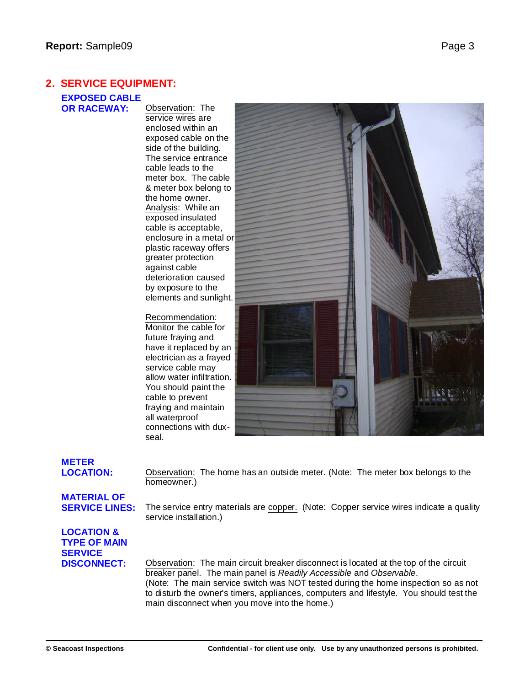## **2. SERVICE EQUIPMENT:**

**EXPOSED CABLE**

**Observation: The** service wires are enclosed within an exposed cable on the side of the building. The service entrance cable leads to the meter box. The cable & meter box belong to the home owner. Analysis: While an exposed insulated cable is acceptable, enclosure in a metal or plastic raceway offers greater protection against cable deterioration caused by exposure to the elements and sunlight.

Recommendation: Monitor the cable for future fraying and have it replaced by an electrician as a frayed service cable may allow water infiltration. You should paint the cable to prevent fraying and maintain all waterproof connections with duxseal.



# **METER**

**LOCATION:** Observation: The home has an outside meter. (Note: The meter box belongs to the homeowner.)

# **MATERIAL OF**

**SERVICE LINES:** The service entry materials are copper. (Note: Copper service wires indicate a quality service installation.)

## **LOCATION & TYPE OF MAIN SERVICE**

**DISCONNECT:** Observation: The main circuit breaker disconnect is located at the top of the circuit breaker panel. The main panel is *Readily Accessible* and *Observable*. (Note: The main service switch was NOT tested during the home inspection so as not to disturb the owner's timers, appliances, computers and lifestyle. You should test the main disconnect when you move into the home.)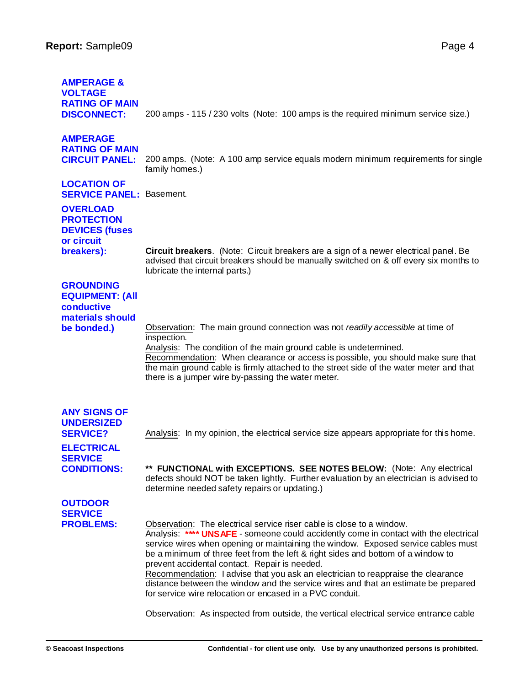| <b>AMPERAGE &amp;</b><br><b>VOLTAGE</b><br><b>RATING OF MAIN</b>                                                         |                                                                                                                                                                                                                                                                                                                                                                                                       |
|--------------------------------------------------------------------------------------------------------------------------|-------------------------------------------------------------------------------------------------------------------------------------------------------------------------------------------------------------------------------------------------------------------------------------------------------------------------------------------------------------------------------------------------------|
| <b>DISCONNECT:</b>                                                                                                       | 200 amps - 115 / 230 volts (Note: 100 amps is the required minimum service size.)                                                                                                                                                                                                                                                                                                                     |
| <b>AMPERAGE</b><br><b>RATING OF MAIN</b><br><b>CIRCUIT PANEL:</b>                                                        | 200 amps. (Note: A 100 amp service equals modern minimum requirements for single<br>family homes.)                                                                                                                                                                                                                                                                                                    |
| <b>LOCATION OF</b><br><b>SERVICE PANEL: Basement.</b>                                                                    |                                                                                                                                                                                                                                                                                                                                                                                                       |
| <b>OVERLOAD</b><br><b>PROTECTION</b><br><b>DEVICES (fuses</b><br>or circuit                                              |                                                                                                                                                                                                                                                                                                                                                                                                       |
| breakers):                                                                                                               | Circuit breakers. (Note: Circuit breakers are a sign of a newer electrical panel. Be<br>advised that circuit breakers should be manually switched on & off every six months to<br>lubricate the internal parts.)                                                                                                                                                                                      |
| <b>GROUNDING</b><br><b>EQUIPMENT: (All</b><br>conductive<br>materials should<br>be bonded.)                              | Observation: The main ground connection was not readily accessible at time of<br>inspection.<br>Analysis: The condition of the main ground cable is undetermined.<br>Recommendation: When clearance or access is possible, you should make sure that<br>the main ground cable is firmly attached to the street side of the water meter and that<br>there is a jumper wire by-passing the water meter. |
| <b>ANY SIGNS OF</b><br><b>UNDERSIZED</b><br><b>SERVICE?</b><br><b>ELECTRICAL</b><br><b>SERVICE</b><br><b>CONDITIONS:</b> | Analysis: In my opinion, the electrical service size appears appropriate for this home.<br>** FUNCTIONAL with EXCEPTIONS. SEE NOTES BELOW: (Note: Any electrical<br>defects should NOT be taken lightly. Further evaluation by an electrician is advised to<br>determine needed safety repairs or updating.)                                                                                          |
| <b>OUTDOOR</b><br><b>SERVICE</b><br><b>PROBLEMS:</b>                                                                     | Observation: The electrical service riser cable is close to a window.<br>Analysis: **** UNSAFE - someone could accidently come in contact with the electrical<br>service wires when opening or maintaining the window. Exposed service cables must                                                                                                                                                    |

prevent accidental contact. Repair is needed. Recommendation: I advise that you ask an electrician to reappraise the clearance distance between the window and the service wires and that an estimate be prepared for service wire relocation or encased in a PVC conduit.

be a minimum of three feet from the left & right sides and bottom of a window to

Observation: As inspected from outside, the vertical electrical service entrance cable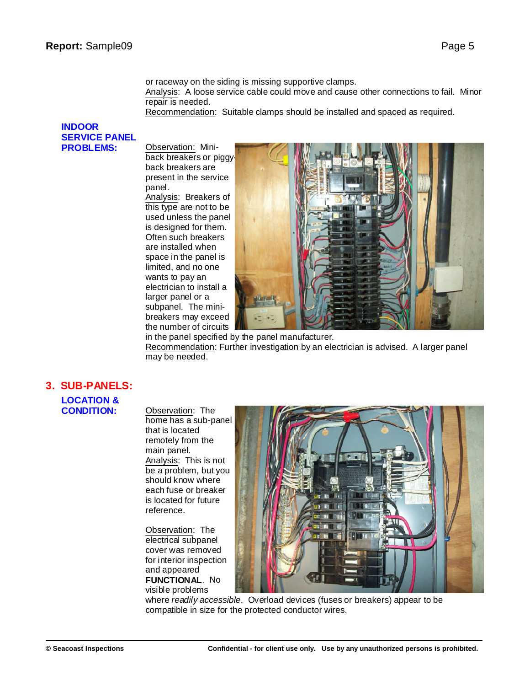or raceway on the siding is missing supportive clamps.

Analysis: A loose service cable could move and cause other connections to fail. Minor repair is needed.

Recommendation: Suitable clamps should be installed and spaced as required.

## **INDOOR SERVICE PANEL PROBLEMS:** Observation: Mini-

back breakers or piggy back breakers are present in the service panel. Analysis: Breakers of this type are not to be used unless the panel is designed for them. Often such breakers

are installed when space in the panel is limited, and no one wants to pay an

larger panel or a subpanel. The mini-



in the panel specified by the panel manufacturer. Recommendation: Further investigation by an electrician is advised. A larger panel may be needed.

## **3. SUB-PANELS:**

## **LOCATION &**

**Cbservation: The** home has a sub-panel that is located remotely from the main panel. Analysis: This is not be a problem, but you should know where each fuse or breaker is located for future reference.

Observation: The electrical subpanel cover was removed for interior inspection and appeared **FUNCTIONAL**. No visible problems



where *readily accessible*. Overload devices (fuses or breakers) appear to be compatible in size for the protected conductor wires.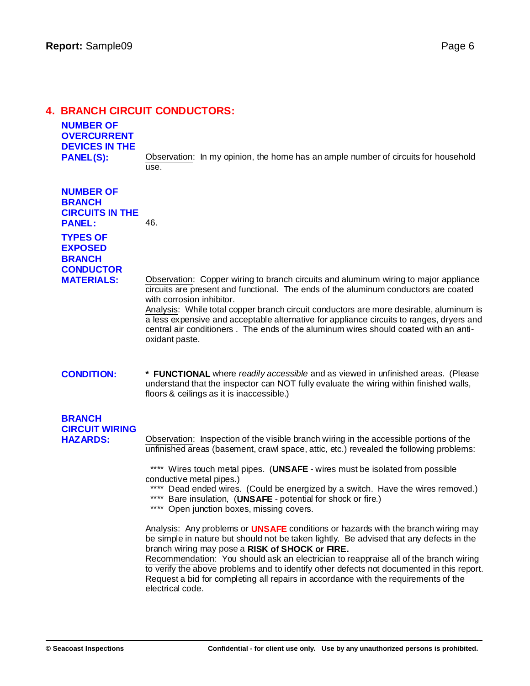## **4. BRANCH CIRCUIT CONDUCTORS:**

## **NUMBER OF OVERCURRENT DEVICES IN THE**

**PANEL(S):** Observation: In my opinion, the home has an ample number of circuits for household use.

**NUMBER OF BRANCH CIRCUITS IN THE PANEL:** 46. **TYPES OF EXPOSED BRANCH**

**CONDUCTOR**

**MATERIALS:** Observation: Copper wiring to branch circuits and aluminum wiring to major appliance circuits are present and functional. The ends of the aluminum conductors are coated with corrosion inhibitor.

Analysis: While total copper branch circuit conductors are more desirable, aluminum is a less expensive and acceptable alternative for appliance circuits to ranges, dryers and central air conditioners . The ends of the aluminum wires should coated with an antioxidant paste.

## **CONDITION: \* FUNCTIONAL** where *readily accessible* and as viewed in unfinished areas. (Please understand that the inspector can NOT fully evaluate the wiring within finished walls, floors & ceilings as it is inaccessible.)

## **BRANCH CIRCUIT WIRING**

**HAZARDS:** Observation: Inspection of the visible branch wiring in the accessible portions of the unfinished areas (basement, crawl space, attic, etc.) revealed the following problems:

> \*\*\*\* Wires touch metal pipes. (**UNSAFE** - wires must be isolated from possible conductive metal pipes.)

\*\*\*\* Dead ended wires. (Could be energized by a switch. Have the wires removed.) \*\*\*\* Bare insulation, (UNSAFE - potential for shock or fire.)

\*\*\*\* Open junction boxes, missing covers.

Analysis: Any problems or **UNSAFE** conditions or hazards with the branch wiring may be simple in nature but should not be taken lightly. Be advised that any defects in the branch wiring may pose a **RISK of SHOCK or FIRE.**

Recommendation: You should ask an electrician to reappraise all of the branch wiring to verify the above problems and to identify other defects not documented in this report. Request a bid for completing all repairs in accordance with the requirements of the electrical code.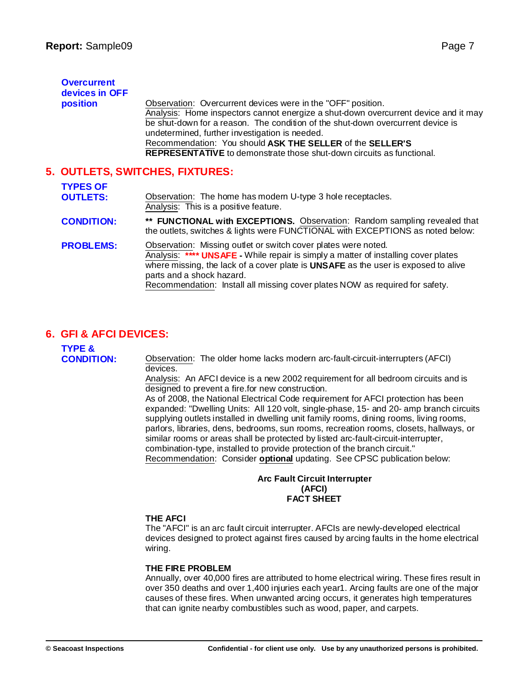| <b>Overcurrent</b><br>devices in OFF<br>position | Observation: Overcurrent devices were in the "OFF" position.<br>Analysis: Home inspectors cannot energize a shut-down overcurrent device and it may<br>be shut-down for a reason. The condition of the shut-down overcurrent device is<br>undetermined, further investigation is needed.<br>Recommendation: You should ASK THE SELLER of the SELLER'S<br><b>REPRESENTATIVE</b> to demonstrate those shut-down circuits as functional. |
|--------------------------------------------------|---------------------------------------------------------------------------------------------------------------------------------------------------------------------------------------------------------------------------------------------------------------------------------------------------------------------------------------------------------------------------------------------------------------------------------------|
| 5. OUTLETS, SWITCHES, FIXTURES:                  |                                                                                                                                                                                                                                                                                                                                                                                                                                       |
| <b>TYPES OF</b><br><b>OUTLETS:</b>               | Observation: The home has modern U-type 3 hole receptacles.                                                                                                                                                                                                                                                                                                                                                                           |
| <b>CONDITION:</b>                                | Analysis: This is a positive feature.<br>** FUNCTIONAL with EXCEPTIONS. Observation: Random sampling revealed that<br>the outlets, switches & lights were FUNCTIONAL with EXCEPTIONS as noted below:                                                                                                                                                                                                                                  |
| <b>PROBLEMS:</b>                                 | Observation: Missing outlet or switch cover plates were noted.<br>Analysis: **** UNSAFE - While repair is simply a matter of installing cover plates<br>where missing, the lack of a cover plate is UNSAFE as the user is exposed to alive<br>parts and a shock hazard.                                                                                                                                                               |

Recommendation: Install all missing cover plates NOW as required for safety.

## **6. GFI & AFCI DEVICES:**

| <b>TYPE &amp;</b><br><b>CONDITION:</b> | Observation: The olde |
|----------------------------------------|-----------------------|
|                                        | devices.              |

**CONDITION:** Observation: The older home lacks modern arc-fault-circuit-interrupters (AFCI) Analysis: An AFCI device is a new 2002 requirement for all bedroom circuits and is

designed to prevent a fire.for new construction. As of 2008, the National Electrical Code requirement for AFCI protection has been

expanded: "Dwelling Units: All 120 volt, single-phase, 15- and 20- amp branch circuits supplying outlets installed in dwelling unit family rooms, dining rooms, living rooms, parlors, libraries, dens, bedrooms, sun rooms, recreation rooms, closets, hallways, or similar rooms or areas shall be protected by listed arc-fault-circuit-interrupter, combination-type, installed to provide protection of the branch circuit." Recommendation: Consider **optional** updating. See CPSC publication below:

#### **Arc Fault Circuit Interrupter (AFCI) FACT SHEET**

## **THE AFCI**

The "AFCI" is an arc fault circuit interrupter. AFCIs are newly-developed electrical devices designed to protect against fires caused by arcing faults in the home electrical wiring.

## **THE FIRE PROBLEM**

Annually, over 40,000 fires are attributed to home electrical wiring. These fires result in over 350 deaths and over 1,400 injuries each year1. Arcing faults are one of the major causes of these fires. When unwanted arcing occurs, it generates high temperatures that can ignite nearby combustibles such as wood, paper, and carpets.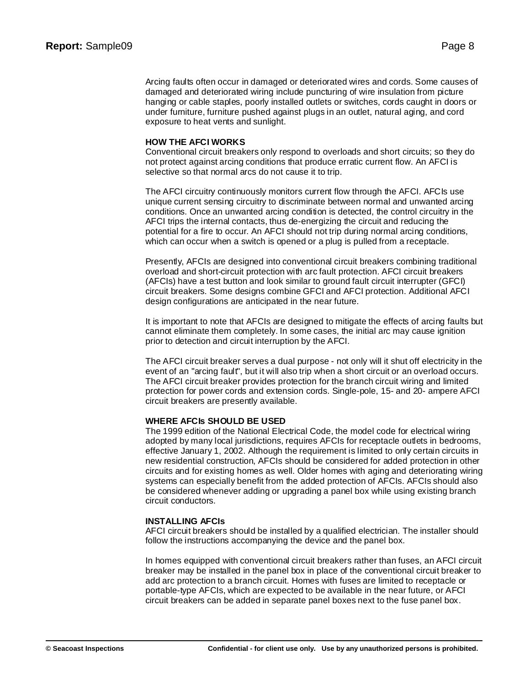Arcing faults often occur in damaged or deteriorated wires and cords. Some causes of damaged and deteriorated wiring include puncturing of wire insulation from picture hanging or cable staples, poorly installed outlets or switches, cords caught in doors or under furniture, furniture pushed against plugs in an outlet, natural aging, and cord exposure to heat vents and sunlight.

#### **HOW THE AFCI WORKS**

Conventional circuit breakers only respond to overloads and short circuits; so they do not protect against arcing conditions that produce erratic current flow. An AFCI is selective so that normal arcs do not cause it to trip.

The AFCI circuitry continuously monitors current flow through the AFCI. AFCIs use unique current sensing circuitry to discriminate between normal and unwanted arcing conditions. Once an unwanted arcing condition is detected, the control circuitry in the AFCI trips the internal contacts, thus de-energizing the circuit and reducing the potential for a fire to occur. An AFCI should not trip during normal arcing conditions, which can occur when a switch is opened or a plug is pulled from a receptacle.

Presently, AFCIs are designed into conventional circuit breakers combining traditional overload and short-circuit protection with arc fault protection. AFCI circuit breakers (AFCIs) have a test button and look similar to ground fault circuit interrupter (GFCI) circuit breakers. Some designs combine GFCI and AFCI protection. Additional AFCI design configurations are anticipated in the near future.

It is important to note that AFCIs are designed to mitigate the effects of arcing faults but cannot eliminate them completely. In some cases, the initial arc may cause ignition prior to detection and circuit interruption by the AFCI.

The AFCI circuit breaker serves a dual purpose - not only will it shut off electricity in the event of an "arcing fault", but it will also trip when a short circuit or an overload occurs. The AFCI circuit breaker provides protection for the branch circuit wiring and limited protection for power cords and extension cords. Single-pole, 15- and 20- ampere AFCI circuit breakers are presently available.

## **WHERE AFCIs SHOULD BE USED**

The 1999 edition of the National Electrical Code, the model code for electrical wiring adopted by many local jurisdictions, requires AFCIs for receptacle outlets in bedrooms, effective January 1, 2002. Although the requirement is limited to only certain circuits in new residential construction, AFCIs should be considered for added protection in other circuits and for existing homes as well. Older homes with aging and deteriorating wiring systems can especially benefit from the added protection of AFCIs. AFCIs should also be considered whenever adding or upgrading a panel box while using existing branch circuit conductors.

#### **INSTALLING AFCIs**

AFCI circuit breakers should be installed by a qualified electrician. The installer should follow the instructions accompanying the device and the panel box.

In homes equipped with conventional circuit breakers rather than fuses, an AFCI circuit breaker may be installed in the panel box in place of the conventional circuit breaker to add arc protection to a branch circuit. Homes with fuses are limited to receptacle or portable-type AFCIs, which are expected to be available in the near future, or AFCI circuit breakers can be added in separate panel boxes next to the fuse panel box.